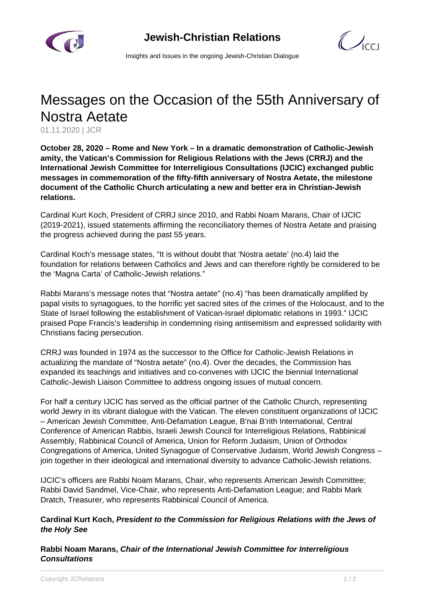

 $\mathcal{C}$ 

Insights and Issues in the ongoing Jewish-Christian Dialogue

## Messages on the Occasion of the 55th Anniversary of Nostra Aetate

01.11.2020 | JCR

**October 28, 2020 – Rome and New York – In a dramatic demonstration of Catholic-Jewish amity, the Vatican's Commission for Religious Relations with the Jews (CRRJ) and the International Jewish Committee for Interreligious Consultations (IJCIC) exchanged public messages in commemoration of the fifty-fifth anniversary of Nostra Aetate, the milestone document of the Catholic Church articulating a new and better era in Christian-Jewish relations.**

Cardinal Kurt Koch, President of CRRJ since 2010, and Rabbi Noam Marans, Chair of IJCIC (2019-2021), issued statements affirming the reconciliatory themes of Nostra Aetate and praising the progress achieved during the past 55 years.

Cardinal Koch's message states, "It is without doubt that 'Nostra aetate' (no.4) laid the foundation for relations between Catholics and Jews and can therefore rightly be considered to be the 'Magna Carta' of Catholic-Jewish relations."

Rabbi Marans's message notes that "Nostra aetate" (no.4) "has been dramatically amplified by papal visits to synagogues, to the horrific yet sacred sites of the crimes of the Holocaust, and to the State of Israel following the establishment of Vatican-Israel diplomatic relations in 1993." IJCIC praised Pope Francis's leadership in condemning rising antisemitism and expressed solidarity with Christians facing persecution.

CRRJ was founded in 1974 as the successor to the Office for Catholic-Jewish Relations in actualizing the mandate of "Nostra aetate" (no.4). Over the decades, the Commission has expanded its teachings and initiatives and co-convenes with IJCIC the biennial International Catholic-Jewish Liaison Committee to address ongoing issues of mutual concern.

For half a century IJCIC has served as the official partner of the Catholic Church, representing world Jewry in its vibrant dialogue with the Vatican. The eleven constituent organizations of IJCIC – American Jewish Committee, Anti-Defamation League, B'nai B'rith International, Central Conference of American Rabbis, Israeli Jewish Council for Interreligious Relations, Rabbinical Assembly, Rabbinical Council of America, Union for Reform Judaism, Union of Orthodox Congregations of America, United Synagogue of Conservative Judaism, World Jewish Congress – join together in their ideological and international diversity to advance Catholic-Jewish relations.

IJCIC's officers are Rabbi Noam Marans, Chair, who represents American Jewish Committee; Rabbi David Sandmel, Vice-Chair, who represents Anti-Defamation League; and Rabbi Mark Dratch, Treasurer, who represents Rabbinical Council of America.

## **Cardinal Kurt Koch, President to the Commission for Religious Relations with the Jews of the Holy See**

**Rabbi Noam Marans, Chair of the International Jewish Committee for Interreligious Consultations**